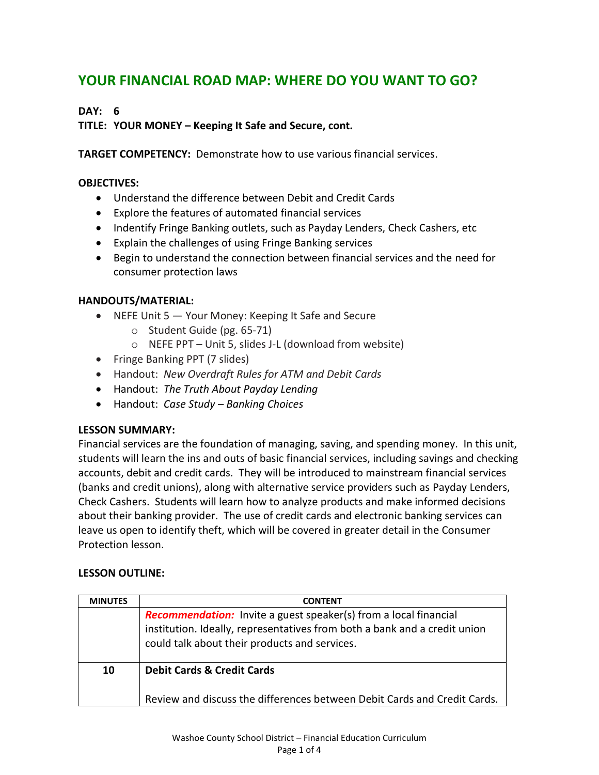# **YOUR FINANCIAL ROAD MAP: WHERE DO YOU WANT TO GO?**

## **DAY: 6**

**TITLE: YOUR MONEY – Keeping It Safe and Secure, cont.**

**TARGET COMPETENCY:** Demonstrate how to use various financial services.

## **OBJECTIVES:**

- Understand the difference between Debit and Credit Cards
- Explore the features of automated financial services
- Indentify Fringe Banking outlets, such as Payday Lenders, Check Cashers, etc
- Explain the challenges of using Fringe Banking services
- Begin to understand the connection between financial services and the need for consumer protection laws

## **HANDOUTS/MATERIAL:**

- NEFE Unit 5 Your Money: Keeping It Safe and Secure
	- o Student Guide (pg. 65-71)
	- o NEFE PPT Unit 5, slides J-L (download from website)
- Fringe Banking PPT (7 slides)
- Handout: *New Overdraft Rules for ATM and Debit Cards*
- Handout: *The Truth About Payday Lending*
- Handout: *Case Study – Banking Choices*

## **LESSON SUMMARY:**

Financial services are the foundation of managing, saving, and spending money. In this unit, students will learn the ins and outs of basic financial services, including savings and checking accounts, debit and credit cards. They will be introduced to mainstream financial services (banks and credit unions), along with alternative service providers such as Payday Lenders, Check Cashers. Students will learn how to analyze products and make informed decisions about their banking provider. The use of credit cards and electronic banking services can leave us open to identify theft, which will be covered in greater detail in the Consumer Protection lesson.

## **LESSON OUTLINE:**

| <b>MINUTES</b> | <b>CONTENT</b>                                                                                                                                                                                        |
|----------------|-------------------------------------------------------------------------------------------------------------------------------------------------------------------------------------------------------|
|                | <b>Recommendation:</b> Invite a guest speaker(s) from a local financial<br>institution. Ideally, representatives from both a bank and a credit union<br>could talk about their products and services. |
| 10             | <b>Debit Cards &amp; Credit Cards</b>                                                                                                                                                                 |
|                | Review and discuss the differences between Debit Cards and Credit Cards.                                                                                                                              |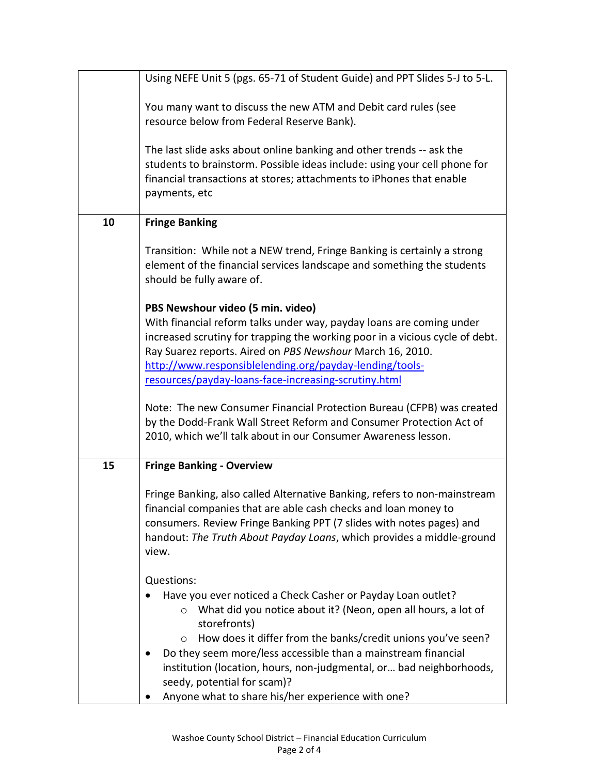|    | Using NEFE Unit 5 (pgs. 65-71 of Student Guide) and PPT Slides 5-J to 5-L.                                                                                                                                                                                                                             |
|----|--------------------------------------------------------------------------------------------------------------------------------------------------------------------------------------------------------------------------------------------------------------------------------------------------------|
|    | You many want to discuss the new ATM and Debit card rules (see<br>resource below from Federal Reserve Bank).                                                                                                                                                                                           |
|    |                                                                                                                                                                                                                                                                                                        |
|    | The last slide asks about online banking and other trends -- ask the<br>students to brainstorm. Possible ideas include: using your cell phone for<br>financial transactions at stores; attachments to iPhones that enable<br>payments, etc                                                             |
| 10 | <b>Fringe Banking</b>                                                                                                                                                                                                                                                                                  |
|    | Transition: While not a NEW trend, Fringe Banking is certainly a strong<br>element of the financial services landscape and something the students<br>should be fully aware of.                                                                                                                         |
|    | PBS Newshour video (5 min. video)                                                                                                                                                                                                                                                                      |
|    | With financial reform talks under way, payday loans are coming under                                                                                                                                                                                                                                   |
|    | increased scrutiny for trapping the working poor in a vicious cycle of debt.                                                                                                                                                                                                                           |
|    | Ray Suarez reports. Aired on PBS Newshour March 16, 2010.<br>http://www.responsiblelending.org/payday-lending/tools-                                                                                                                                                                                   |
|    | resources/payday-loans-face-increasing-scrutiny.html                                                                                                                                                                                                                                                   |
|    | Note: The new Consumer Financial Protection Bureau (CFPB) was created                                                                                                                                                                                                                                  |
|    | by the Dodd-Frank Wall Street Reform and Consumer Protection Act of                                                                                                                                                                                                                                    |
|    | 2010, which we'll talk about in our Consumer Awareness lesson.                                                                                                                                                                                                                                         |
| 15 | <b>Fringe Banking - Overview</b>                                                                                                                                                                                                                                                                       |
|    | Fringe Banking, also called Alternative Banking, refers to non-mainstream<br>financial companies that are able cash checks and loan money to<br>consumers. Review Fringe Banking PPT (7 slides with notes pages) and<br>handout: The Truth About Payday Loans, which provides a middle-ground<br>view. |
|    | Questions:                                                                                                                                                                                                                                                                                             |
|    | Have you ever noticed a Check Casher or Payday Loan outlet?<br>What did you notice about it? (Neon, open all hours, a lot of<br>$\circ$<br>storefronts)                                                                                                                                                |
|    | How does it differ from the banks/credit unions you've seen?<br>$\circ$                                                                                                                                                                                                                                |
|    | Do they seem more/less accessible than a mainstream financial<br>institution (location, hours, non-judgmental, or bad neighborhoods,<br>seedy, potential for scam)?                                                                                                                                    |
|    | Anyone what to share his/her experience with one?                                                                                                                                                                                                                                                      |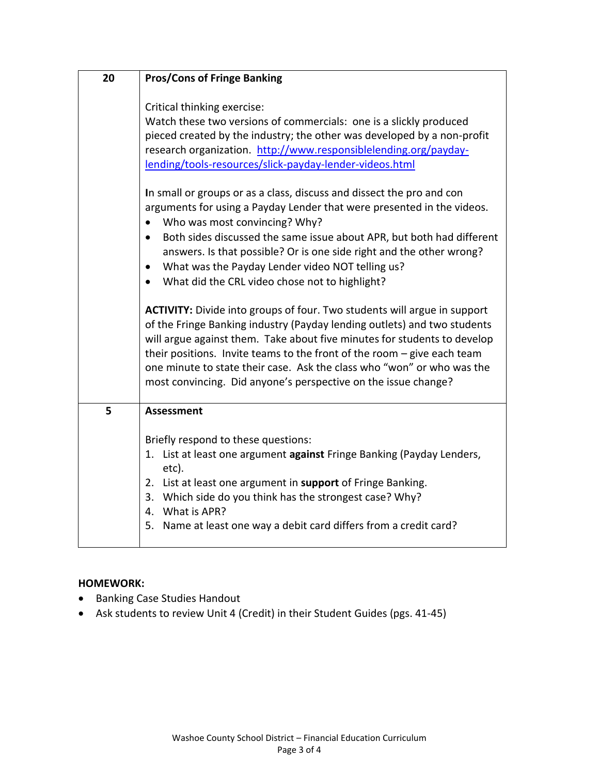| 20 | <b>Pros/Cons of Fringe Banking</b>                                                                                                                                                                                                                                                                                                                                                                                                                             |
|----|----------------------------------------------------------------------------------------------------------------------------------------------------------------------------------------------------------------------------------------------------------------------------------------------------------------------------------------------------------------------------------------------------------------------------------------------------------------|
|    | Critical thinking exercise:<br>Watch these two versions of commercials: one is a slickly produced<br>pieced created by the industry; the other was developed by a non-profit<br>research organization. http://www.responsiblelending.org/payday-<br>lending/tools-resources/slick-payday-lender-videos.html                                                                                                                                                    |
|    | In small or groups or as a class, discuss and dissect the pro and con<br>arguments for using a Payday Lender that were presented in the videos.<br>Who was most convincing? Why?<br>$\bullet$                                                                                                                                                                                                                                                                  |
|    | Both sides discussed the same issue about APR, but both had different<br>$\bullet$<br>answers. Is that possible? Or is one side right and the other wrong?<br>What was the Payday Lender video NOT telling us?<br>$\bullet$<br>What did the CRL video chose not to highlight?<br>$\bullet$                                                                                                                                                                     |
|    | <b>ACTIVITY:</b> Divide into groups of four. Two students will argue in support<br>of the Fringe Banking industry (Payday lending outlets) and two students<br>will argue against them. Take about five minutes for students to develop<br>their positions. Invite teams to the front of the room - give each team<br>one minute to state their case. Ask the class who "won" or who was the<br>most convincing. Did anyone's perspective on the issue change? |
| 5  | <b>Assessment</b>                                                                                                                                                                                                                                                                                                                                                                                                                                              |
|    | Briefly respond to these questions:<br>1. List at least one argument against Fringe Banking (Payday Lenders,<br>etc).<br>List at least one argument in support of Fringe Banking.<br>2.<br>3.<br>Which side do you think has the strongest case? Why?<br>What is APR?<br>4.<br>5.<br>Name at least one way a debit card differs from a credit card?                                                                                                            |

## **HOMEWORK:**

- **•** Banking Case Studies Handout
- Ask students to review Unit 4 (Credit) in their Student Guides (pgs. 41-45)